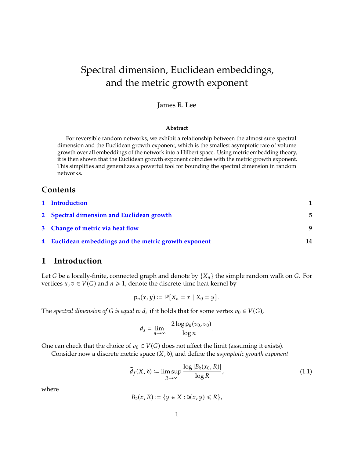# Spectral dimension, Euclidean embeddings, and the metric growth exponent

## James R. Lee

#### **Abstract**

For reversible random networks, we exhibit a relationship between the almost sure spectral dimension and the Euclidean growth exponent, which is the smallest asymptotic rate of volume growth over all embeddings of the network into a Hilbert space. Using metric embedding theory, it is then shown that the Euclidean growth exponent coincides with the metric growth exponent. This simplifies and generalizes a powerful tool for bounding the spectral dimension in random networks.

# **Contents**

| 1 Introduction                                        |    |
|-------------------------------------------------------|----|
| 2 Spectral dimension and Euclidean growth             | 5  |
| 3 Change of metric via heat flow                      | q  |
| 4 Euclidean embeddings and the metric growth exponent | 14 |

# <span id="page-0-0"></span>**1 Introduction**

Let G be a locally-finite, connected graph and denote by  $\{X_n\}$  the simple random walk on G. For vertices  $u, v \in V(G)$  and  $n \geq 1$ , denote the discrete-time heat kernel by

$$
\mathsf{p}_n(x,y) \coloneqq \mathbb{P}[X_n = x \mid X_0 = y].
$$

The *spectral dimension of* G *is equal to*  $d_s$  if it holds that for some vertex  $v_0 \in V(G)$ ,

$$
d_s = \lim_{n \to \infty} \frac{-2\log p_n(v_0, v_0)}{\log n}
$$

One can check that the choice of  $v_0 \in V(G)$  does not affect the limit (assuming it exists).

Consider now a discrete metric space  $(X, \mathfrak{d})$ , and define the *asymptotic growth exponent* 

<span id="page-0-1"></span>
$$
\bar{d}_f(X, \mathfrak{d}) := \limsup_{R \to \infty} \frac{\log |B_{\mathfrak{d}}(x_0, R)|}{\log R},
$$
\n(1.1)

where

$$
B_{\mathfrak{d}}(x,R) := \{ y \in X : \mathfrak{d}(x,y) \leq R \},
$$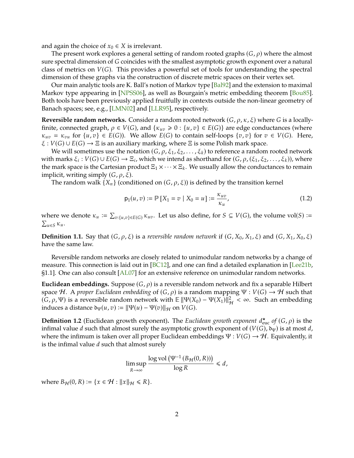<span id="page-1-0"></span>and again the choice of  $x_0 \in X$  is irrelevant.

The present work explores a general setting of random rooted graphs  $(G, \rho)$  where the almost sure spectral dimension of G coincides with the smallest asymptotic growth exponent over a natural class of metrics on  $V(G)$ . This provides a powerful set of tools for understanding the spectral dimension of these graphs via the construction of discrete metric spaces on their vertex set.

Our main analytic tools are K. Ball's notion of Markov type [\[Bal92\]](#page-16-0) and the extension to maximal Markov type appearing in [\[NPSS06\]](#page-17-0), as well as Bourgain's metric embedding theorem [\[Bou85\]](#page-16-1). Both tools have been previously applied fruitfully in contexts outside the non-linear geometry of Banach spaces; see, e.g., [\[LMN02\]](#page-17-1) and [\[LLR95\]](#page-17-2), respectively.

**Reversible random networks.** Consider a random rooted network  $(G, \rho, \kappa, \xi)$  where G is a locallyfinite, connected graph,  $\rho \in V(G)$ , and  $\{\kappa_{uv} \geq 0 : \{u, v\} \in E(G)\}\$  are edge conductances (where  $\kappa_{uv} = \kappa_{vu}$  for  $\{u, v\} \in E(G)$ ). We allow  $E(G)$  to contain self-loops  $\{v, v\}$  for  $v \in V(G)$ . Here,  $\xi : V(G) \cup E(G) \rightarrow \Xi$  is an auxiliary marking, where  $\Xi$  is some Polish mark space.

We will sometimes use the notation  $(G, \rho, \xi_1, \xi_2, \ldots, \xi_k)$  to reference a random rooted network with marks  $\xi_i : V(G) \cup E(G) \rightarrow \Xi_i$ , which we intend as shorthand for  $(G, \rho, (\xi_1, \xi_2, \ldots, \xi_k))$ , where the mark space is the Cartesian product  $\Xi_1 \times \cdots \times \Xi_k$ . We usually allow the conductances to remain the mark space is the Cartesian product  $\Xi_1 \times \cdots \times \Xi_k$ . We usually allow the conductances to remain implicit, writing simply  $(G, \rho, \xi)$ .

The random walk  $\{X_n\}$  (conditioned on  $(G, \rho, \xi)$ ) is defined by the transition kernel

$$
p_1(u,v) := \mathbb{P}[X_1 = v \mid X_0 = u] := \frac{\kappa_{uv}}{\kappa_u},
$$
\n(1.2)

where we denote  $\kappa_u := \sum_{v:\{u,v\} \in E(G)} \kappa_{uv}$ . Let us also define, for  $S \subseteq V(G)$ , the volume vol(S) :=  $\sum_{u \in S} \kappa_u$ .  $\sum_{u \in S} \kappa_u$ .

**Definition 1.1.** Say that  $(G, \rho, \xi)$  is a *reversible random network* if  $(G, X_0, X_1, \xi)$  and  $(G, X_1, X_0, \xi)$ have the same law.

Reversible random networks are closely related to unimodular random networks by a change of measure. This connection is laid out in  $[BC12]$ , and one can find a detailed explanation in  $[Lee21b,$ §1.1]. One can also consult [\[AL07\]](#page-16-3) for an extensive reference on unimodular random networks.

**Euclidean embeddings.** Suppose  $(G, \rho)$  is a reversible random network and fix a separable Hilbert space *H*. A *proper Euclidean embedding* of  $(G, \rho)$  is a random mapping  $\Psi : V(G) \to H$  such that  $(\bar{G}, \rho, \Psi)$  is a reversible random network with  $\mathbb{E} ||\Psi(X_0) - \Psi(X_1) ||_{\mathcal{H}}^2 < \infty$ . Such an embedding induces a distance  $\mathbb{E} ||\Psi(u) - \Psi(x_1)||_{\mathcal{H}}$ induces a distance  $\mathfrak{d}_{\Psi}(u, v) := ||\Psi(u) - \Psi(v)||_{\mathcal{H}}$  on  $V(G)$ .

**Definition 1.2** (Euclidean growth exponent). The *Euclidean growth exponent*  $d_{\text{euc}}^{\star}$  of  $(G, \rho)$  is the infimal value d such that almost surely the asymptotic growth exponent of  $(V(C), S_{\text{av}})$  is at most d infimal value d such that almost surely the asymptotic growth exponent of  $(V(G), \mathfrak{d}_\Psi)$  is at most d, where the infimum is taken over all proper Euclidean embeddings  $\Psi : V(G) \to H$ . Equivalently, it is the infimal value  $d$  such that almost surely

$$
\limsup_{R\to\infty}\frac{\log \text{vol}\left(\Psi^{-1}\left(B_{\mathcal H}(0,R)\right)\right)}{\log R}\leq d,
$$

where  $B_{\mathcal{H}}(0, R) := \{x \in \mathcal{H} : ||x||_{\mathcal{H}} \leq R\}.$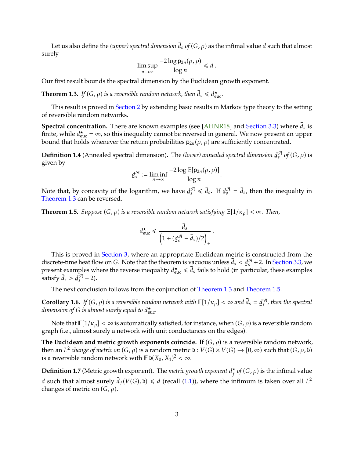<span id="page-2-2"></span>Let us also define the *(upper) spectral dimension*  $\overline{d}_s$  *of*  $(G, \rho)$  as the infimal value *d* such that almost surely

$$
\limsup_{n\to\infty}\frac{-2\log p_{2n}(\rho,\rho)}{\log n}\leq d.
$$

Our first result bounds the spectral dimension by the Euclidean growth exponent.

<span id="page-2-0"></span>**Theorem 1.3.** If  $(G, \rho)$  is a reversible random network, then  $\bar{d}_s \leq d_{\text{euc}}^{\star}$ .

This result is proved in [Section 2](#page-4-0) by extending basic results in Markov type theory to the setting of reversible random networks.

**Spectral concentration.** There are known examples (see [\[AHNR18\]](#page-16-4) and [Section 3.3\)](#page-12-0) where  $\bar{d}_s$  is finite while  $d^* = \infty$  so this inequality cannot be reversed in general. We new present an upper finite, while  $d_{\text{euc}}^{\star} = \infty$ , so this inequality cannot be reversed in general. We now present an upper<br>bound that holds whenever the return probabilities ne (e, e) are sufficiently concentrated bound that holds whenever the return probabilities  $p_{2n}(\rho, \rho)$  are sufficiently concentrated.

**Definition 1.4** (Annealed spectral dimension). The *(lower) annealed spectral dimension <u>d</u>*<br>given by  $_{s}^{\mathcal{A}}$  of  $(G, \rho)$  is given by

$$
\underline{d}_s^{\mathcal{A}} := \liminf_{n \to \infty} \frac{-2 \log \mathbb{E}[p_{2n}(\rho, \rho)]}{\log n}.
$$

Note that, by concavity of the logarithm, we have <u>d</u><br>Theorem 1.3 can be reversed  $\mathcal{F}_s$   $\leq \bar{d}_s$ . If  $\underline{d}$  $\mathcal{J}_s$  =  $\bar{d}_s$ , then the inequality in [Theorem 1.3](#page-2-0) can be reversed.

<span id="page-2-1"></span>**Theorem 1.5.** *Suppose*  $(G, \rho)$  *is a reversible random network satisfying*  $\mathbb{E}[1/\kappa_{\rho}] < \infty$ *. Then,* 

$$
d_{\text{euc}}^{\star} \leq \frac{\bar{d}_s}{\left(1 + (\underline{d}_s^{\mathcal{A}} - \bar{d}_s)/2\right)_+}
$$

This is proved in [Section 3,](#page-8-0) where an appropriate Euclidean metric is constructed from the discrete-time heat flow on G. Note that the theorem is vacuous unless  $\overline{d}_s < \underline{d}_s^{\mathcal{A}} + 2$ . In [Section 3.3,](#page-12-0) we<br>present examples where the reverse inequality  $d^*$   $\leq \overline{d}_s$  fails to hold (in particular, these exa ensertic time neat now on O. Tyote that the theorem is vactors antess  $u_s \le \frac{u_s}{2} + 2$ . In occupants, we present examples where the reverse inequality  $d_{\text{euc}} \le \bar{d}_s$  fails to hold (in particular, these examples satisfy  $\bar{d}_s > \underline{d}$  $\int_{s}^{4}$  + 2).

The next conclusion follows from the conjunction of [Theorem 1.3](#page-2-0) and [Theorem 1.5.](#page-2-1)

**Corollary 1.6.** *If*  $(G, \rho)$  *is a reversible random network with*  $\mathbb{E}[1/\kappa_{\rho}] < \infty$  *and*  $\bar{d}_s = \underline{d}$  *dimension of*  $\bar{G}$  *is almost surely equal to*  $d^{\star}$  $_{\rm s}^{{\cal A}}$  , then the spectral dimension of G is almost surely equal to  $d_{\text{euc}}^\star$ .

Note that  $\mathbb{E}[1/\kappa_\rho]<\infty$  is automatically satisfied, for instance, when  $(G,\rho)$  is a reversible random graph (i.e., almost surely a network with unit conductances on the edges).

The Euclidean and metric growth exponents coincide. If  $(G, \rho)$  is a reversible random network, then an  $L^2$  *change of metric on*  $(G, \rho)$  is a random metric  $\delta : V(G) \times V(G) \to [0, \infty)$  such that  $(G, \rho, \delta)$  is a reversible random petwork with  $\mathbb{E} \delta(X_0, X_0)^2 \leq \infty$ is a reversible random network with  $\mathbb{E} \mathfrak{d}(X_0, X_1)^2 < \infty$ .

**Definition 1.7** (Metric growth exponent). The *metric growth exponent*  $d_f^{\star}$  *of* (*G*,  $\rho$ ) is the infimal value d such that almost surely  $\bar{d}_f(V(G), \mathfrak{d}) \leq d$  (recall [\(1.1\)](#page-0-1)), where the infimum is taken over all  $L^2$ changes of metric on  $(G, \rho)$ .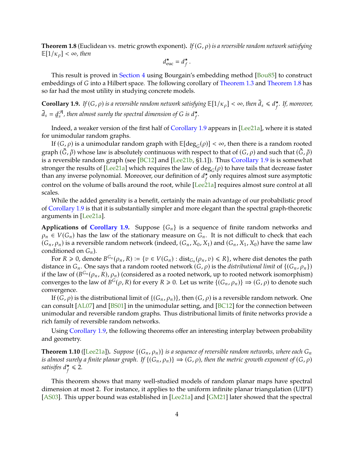<span id="page-3-3"></span><span id="page-3-0"></span>**Theorem 1.8** (Euclidean vs. metric growth exponent). If  $(G, \rho)$  is a reversible random network satisfying  $\mathbb{E}[1/\kappa_{\rho}] < \infty$ , then

$$
d_{\text{euc}}^{\star} = d_{f}^{\star}.
$$

 $^{\prime}$ 

 $^{\prime}$ 

This result is proved in [Section 4](#page-13-0) using Bourgain's embedding method [\[Bou85\]](#page-16-1) to construct embeddings of G into a Hilbert space. The following corollary of [Theorem 1.3](#page-2-0) and [Theorem 1.8](#page-3-0) has so far had the most utility in studying concrete models.

<span id="page-3-1"></span>**Corollary 1.9.** *If*  $(G, \rho)$  is a reversible random network satisfying  $\mathbb{E}[1/\kappa_{\rho}] < \infty$ , then  $\bar{d}_s \leq d_f^{\star}$ . *If, moreover,*  $^{\prime}$  $\overline{d}_s = \underline{d}$  $\overline{\mathcal{A}}$  $^{\mathcal{A}}$  , then almost surely the spectral dimension of G is  $d_f^{\star}$ .

Indeed, a weaker version of the first half of [Corollary 1.9](#page-3-1) appears in [\[Lee21a\]](#page-17-4), where it is stated for unimodular random graphs.

If  $(G, \rho)$  is a unimodular random graph with  $\mathbb{E}[\deg_G(\rho)] < \infty$ , then there is a random rooted<br>ph  $(\tilde{C}, \tilde{a})$  whose law is absolutely sentinyous with respect to that of  $(C, a)$  and such that  $(\tilde{C}, \tilde{a})$ graph  $(\tilde{G}, \tilde{\rho})$  whose law is absolutely continuous with respect to that of  $(G, \rho)$  and such that  $(\tilde{G}, \tilde{\rho})$ is a reversible random graph (see [\[BC12\]](#page-16-2) and [\[Lee21b,](#page-17-3) §1.1]). Thus [Corollary 1.9](#page-3-1) is is somewhat stronger the results of [\[Lee21a\]](#page-17-4) which requires the law of  $deg_G(\rho)$  to have tails that decrease faster than any inverse polynomial. Moreover, our definition of  $d_f^*$  only requires almost sure asymptotic sectoral at all control on the volume of balls around the root, while [\[Lee21a\]](#page-17-4) requires almost sure control at all scales.

While the added generality is a benefit, certainly the main advantage of our probabilistic proof of [Corollary 1.9](#page-3-1) is that it is substantially simpler and more elegant than the spectral graph-theoretic arguments in [\[Lee21a\]](#page-17-4).

**Applications of [Corollary 1.9.](#page-3-1)** Suppose  $\{G_n\}$  is a sequence of finite random networks and  $\rho_n \in V(G_n)$  has the law of the stationary measure on  $G_n$ . It is not difficult to check that each  $(G_n, \rho_n)$  is a reversible random network (indeed,  $(G_n, X_0, X_1)$  and  $(G_n, X_1, X_0)$  have the same law conditioned on  $G_n$ ).

For  $R \geq 0$ , denote  $B^{G_n}(\rho_n, R) := \{v \in V(G_n) : \text{dist}_{G_n}(\rho_n, v) \leq R\}$ , where dist denotes the path and  $G_n$ . distance in  $G_n$ . One says that a random rooted network  $(G, \rho)$  is the *distributional limit* of  $\{(G_n, \rho_n)\}$ if the law of  $(B^{G_n}(\rho_n, R), \rho_n)$  (considered as a rooted network, up to rooted network isomorphism)<br>converges to the law of  $B^{G}(\rho, R)$  for every  $R > 0$ . Let us write  $f(G, \rho, \rho) \to (G, \rho)$  to denote such converges to the law of  $B^G(\rho, R)$  for every  $R \ge 0$ . Let us write  $\{(G_n, \rho_n)\} \Rightarrow (G, \rho)$  to denote such convergence.

If  $(G, \rho)$  is the distributional limit of  $\{(G_n, \rho_n)\}$ , then  $(G, \rho)$  is a reversible random network. One can consult [\[AL07\]](#page-16-3) and [\[BS01\]](#page-16-5) in the unimodular setting, and [\[BC12\]](#page-16-2) for the connection between unimodular and reversible random graphs. Thus distributional limits of finite networks provide a rich family of reversible random networks.

Using [Corollary 1.9,](#page-3-1) the following theorems offer an interesting interplay between probability and geometry.

<span id="page-3-2"></span>**Theorem 1.10** ([\[Lee21a\]](#page-17-4)). *Suppose*  $\{(G_n, \rho_n)\}$  *is a sequence of reversible random networks, where each*  $G_n$ *is almost surely a finite planar graph.* If  $\{(G_n, \rho_n)\}\Rightarrow (G, \rho)$ *, then the metric growth exponent of*  $(G, \rho)$ satisifes  $d_f^{\star} \leq 2$ .

 $^{\prime}$ 

This theorem shows that many well-studied models of random planar maps have spectral dimension at most 2. For instance, it applies to the uniform infinite planar triangulation (UIPT) [\[AS03\]](#page-16-6). This upper bound was established in [\[Lee21a\]](#page-17-4) and [\[GM21\]](#page-17-5) later showed that the spectral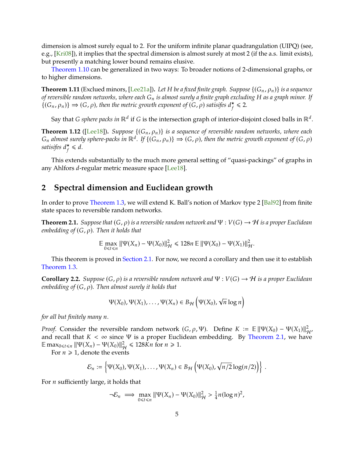<span id="page-4-3"></span>dimension is almost surely equal to 2. For the uniform infinite planar quadrangulation (UIPQ) (see, e.g., [\[Kri08\]](#page-17-6)), it implies that the spectral dimension is almost surely at most 2 (if the a.s. limit exists), but presently a matching lower bound remains elusive.

[Theorem 1.10](#page-3-2) can be generalized in two ways: To broader notions of 2-dimensional graphs, or to higher dimensions.

**Theorem 1.11** (Exclued minors, [\[Lee21a\]](#page-17-4)). Let H be a fixed finite graph. Suppose  $\{(G_n, \rho_n)\}$  is a sequence *of reversible random networks, where each* <sup>𝐺</sup>𝑛 *is almost surely a finite graph excluding* <sup>𝐻</sup> *as a graph minor. If*  $\{(G_n, \rho_n)\}\Rightarrow (G, \rho)$ , then the metric growth exponent of  $(G, \rho)$  satisifes  $d_f^* \leq 2$ .

Say that *G sphere packs in* ℝ<sup>d</sup> if *G* is the intersection graph of interior-disjoint closed balls in ℝ<sup>d</sup>.

 $^{\prime}$ 

**Theorem 1.12** ([\[Lee18\]](#page-17-7)). *Suppose*  $\{(G_n, \rho_n)\}$  *is a sequence of reversible random networks, where each*  $G_n$  almost surely sphere-packs in ℝ<sup>d</sup>. If  $\{(G_n, \rho_n)\}\Rightarrow(G, \rho)$ , then the metric growth exponent of  $(G, \rho)$ <br>satisifes d\* < d satisifes  $d_f^{\star} \leq d$ .

This extends substantially to the much more general setting of "quasi-packings" of graphs in any Ahlfors *d*-regular metric measure space [\[Lee18\]](#page-17-7).

# <span id="page-4-0"></span>**2 Spectral dimension and Euclidean growth**

In order to prove [Theorem 1.3,](#page-2-0) we will extend K. Ball's notion of Markov type 2 [\[Bal92\]](#page-16-0) from finite state spaces to reversible random networks.

<span id="page-4-1"></span>**Theorem 2.1.** *Suppose that*  $(G, \rho)$  *is a reversible random network and*  $\Psi : V(G) \to H$  *is a proper Euclidean embedding of*  $(G, \rho)$ *. Then it holds that* 

$$
\mathbb{E} \max_{0 \le t \le n} \|\Psi(X_n) - \Psi(X_0)\|_{\mathcal{H}}^2 \le 128n \mathbb{E} \|\Psi(X_0) - \Psi(X_1)\|_{\mathcal{H}}^2
$$

This theorem is proved in [Section 2.1.](#page-6-0) For now, we record a corollary and then use it to establish [Theorem 1.3.](#page-2-0)

<span id="page-4-2"></span>**Corollary 2.2.** *Suppose*  $(G, \rho)$  *is a reversible random network and*  $\Psi : V(G) \to H$  *is a proper Euclidean embedding of*  $(G, \rho)$ . Then almost surely it holds that

$$
\Psi(X_0), \Psi(X_1), \ldots, \Psi(X_n) \in B_{\mathcal{H}}\left(\Psi(X_0), \sqrt{n}\log n\right)
$$

*for all but finitely many n.* 

 $^{\prime}$ 

*Proof.* Consider the reversible random network  $(G, \rho, \Psi)$ . Define  $K := \mathbb{E} ||\Psi(X_0) - \Psi(X_1)||_{\mathcal{H}'}^2$ <br>and recall that  $K \leq \infty$  since W is a proper Euclidean embedding. By Theorem 2.1, we have and recall that  $K < \infty$  since  $\Psi$  is a proper Euclidean embedding. By [Theorem 2.1,](#page-4-1) we have  $\mathbb{E} \max_{0 \le t \le n} ||\Psi(X_n) - \Psi(X_0)||_{\mathcal{H}}^2 \le 128Kn$  for  $n \ge 1$ .<br>For  $n > 1$ , denote the events

For  $n \geq 1$ , denote the events

$$
\mathcal{E}_n := \left\{ \Psi(X_0), \Psi(X_1), \ldots, \Psi(X_n) \in B_{\mathcal{H}} \left( \Psi(X_0), \sqrt{n/2} \log(n/2) \right) \right\}.
$$

For  $n$  sufficiently large, it holds that

$$
\neg \mathcal{E}_n \implies \max_{0 \leq t \leq n} \|\Psi(X_n) - \Psi(X_0)\|_{\mathcal{H}}^2 > \frac{1}{4}n(\log n)^2,
$$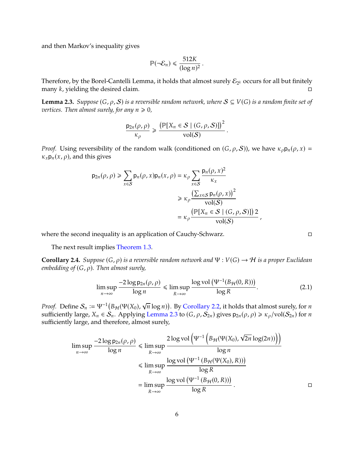and then Markov's inequality gives

$$
\mathbb{P}(\neg \mathcal{E}_n) \leq \frac{512K}{(\log n)^2}.
$$

Therefore, by the Borel-Cantelli Lemma, it holds that almost surely  $\mathcal{E}_{2^k}$  occurs for all but finitely many  $k$ , yielding the desired claim.

<span id="page-5-0"></span>**Lemma 2.3.** *Suppose*  $(G, \rho, S)$  *is a reversible random network, where*  $S \subseteq V(G)$  *is a random finite set of vertices. Then almost surely, for any*  $n \ge 0$ ,

$$
\frac{\mathsf{p}_{2n}(\rho,\rho)}{\kappa_{\rho}}\geqslant\frac{\big(\mathbb{P}[X_n\in\mathcal{S}\mid(G,\rho,\mathcal{S})]\big)^2}{\mathrm{vol}(\mathcal{S})}.
$$

*Proof.* Using reversibility of the random walk (conditioned on  $(G, \rho, S)$ ), we have  $\kappa_{\rho} p_n(\rho, x) =$  $\kappa_x$ **p**<sub>n</sub> $(x, \rho)$ , and this gives

$$
p_{2n}(\rho, \rho) \ge \sum_{x \in S} p_n(\rho, x) p_n(x, \rho) = \kappa_{\rho} \sum_{x \in S} \frac{p_n(\rho, x)^2}{\kappa_x}
$$

$$
\ge \kappa_{\rho} \frac{\left(\sum_{x \in S} p_n(\rho, x)\right)^2}{\text{vol}(S)}
$$

$$
= \kappa_{\rho} \frac{\left(\mathbb{P}[X_n \in S \mid (G, \rho, S)]\right) 2}{\text{vol}(S)},
$$

where the second inequality is an application of Cauchy-Schwarz.

The next result implies [Theorem 1.3.](#page-2-0)

**Corollary 2.4.** *Suppose*  $(G, \rho)$  *is a reversible random network and*  $\Psi : V(G) \to H$  *is a proper Euclidean embedding of*  $(G, \rho)$ *. Then almost surely,* 

$$
\limsup_{n \to \infty} \frac{-2\log p_{2n}(\rho, \rho)}{\log n} \le \limsup_{R \to \infty} \frac{\log \text{vol}(\Psi^{-1}(B_{\mathcal{H}}(0, R)))}{\log R}.
$$
 (2.1)

*Proof.* Define  $S_n := \Psi^{-1}(B_{\mathcal{H}}(\Psi(X_0)),$ √  $\overline{n}$  log *n*)). By [Corollary 2.2,](#page-4-2) it holds that almost surely, for *n*<br>Lomma 2.3 to (C, e, S<sub>0</sub>) gives p<sub>0</sub> (e, e) >  $\chi$  /yol(S<sub>0</sub>) for *n* sufficiently large,  $X_n \in \mathcal{S}_n$ . Applying [Lemma 2.3](#page-5-0) to  $(G, \rho, \mathcal{S}_{2n})$  gives  $p_{2n}(\rho, \rho) \geq \kappa_\rho/\text{vol}(\mathcal{S}_{2n})$  for *n* sufficiently large, and therefore, almost surely,

$$
\limsup_{n \to \infty} \frac{-2\log p_{2n}(\rho, \rho)}{\log n} \le \limsup_{R \to \infty} \frac{2\log \text{vol}\left(\Psi^{-1}\left(B_{\mathcal{H}}(\Psi(X_0), \sqrt{2n}\log(2n))\right)\right)}{\log n}
$$
  

$$
\le \limsup_{R \to \infty} \frac{\log \text{vol}\left(\Psi^{-1}\left(B_{\mathcal{H}}(\Psi(X_0), R)\right)\right)}{\log R}
$$
  

$$
= \limsup_{R \to \infty} \frac{\log \text{vol}\left(\Psi^{-1}\left(B_{\mathcal{H}}(\Phi(X_0), R)\right)\right)}{\log R}.
$$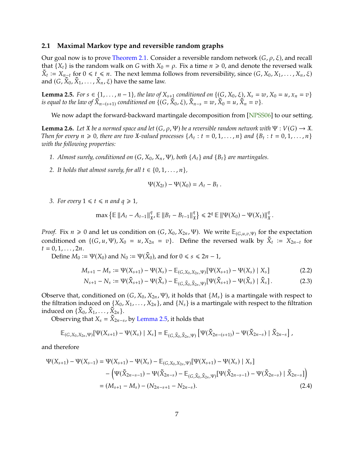## <span id="page-6-6"></span><span id="page-6-0"></span>**2.1 Maximal Markov type and reversible random graphs**

Our goal now is to prove [Theorem 2.1.](#page-4-1) Consider a reversible random network  $(G, \rho, \xi)$ , and recall that  $\{X_t\}$  is the random walk on G with  $X_0 = \rho$ . Fix a time  $n \geq 0$ , and denote the reversed walk  $\tilde{X}_t := X_{n-t}$  for  $0 \le t \le n$ . The next lemma follows from reversibility, since  $(G, X_0, X_1, \ldots, X_n, \xi)$ and  $(G, \tilde{X}_0, \tilde{X}_1, \ldots, \tilde{X}_n, \xi)$  have the same law.

<span id="page-6-1"></span>**Lemma 2.5.** *For*  $s \in \{1, ..., n-1\}$ , *the law of*  $X_{s+1}$  *conditioned on*  $\{(G, X_0, \xi), X_s = w, X_0 = u, x_n = v\}$  $\tilde{X}_{n-(s+1)}$  *conditioned on*  $\{(G, \tilde{X}_0, \xi), \tilde{X}_{n-s} = w, \tilde{X}_0 = u, \tilde{X}_n = v\}.$ 

We now adapt the forward-backward martingale decomposition from [\[NPSS06\]](#page-17-0) to our setting.

<span id="page-6-5"></span>**Lemma 2.6.** *Let*  $\ddot{x}$  *be a normed space and let*  $(G, \rho, \Psi)$  *be a reversible random network with*  $\Psi : V(G) \to \ddot{x}$ *. Then for every*  $n \ge 0$ , there are two  $\mathfrak{X}$ -valued processes  $\{A_t : t = 0, 1, ..., n\}$  and  $\{B_t : t = 0, 1, ..., n\}$ *with the following properties:*

- *1. Almost surely, conditioned on*  $(G, X_0, X_n, \Psi)$ , both  $\{A_t\}$  and  $\{B_t\}$  are martingales.
- *2. It holds that almost surely, for all*  $t \in \{0, 1, \ldots, n\}$ *,*

<span id="page-6-4"></span><span id="page-6-3"></span>
$$
\Psi(X_{2t}) - \Psi(X_0) = A_t - B_t
$$

*3. For every*  $1 \leq t \leq n$  *and*  $q \geq 1$ *,* 

$$
\max \left\{ \mathbb{E} \left\| A_t - A_{t-1} \right\|_{\mathfrak{X}}^q, \mathbb{E} \left\| B_t - B_{t-1} \right\|_{\mathfrak{X}}^q \right\} \leq 2^q \mathbb{E} \left\| \Psi(X_0) - \Psi(X_1) \right\|_{\mathfrak{X}}^q.
$$

*Proof.* Fix  $n \ge 0$  and let us condition on  $(G, X_0, X_{2n}, \Psi)$ . We write  $\mathbb{E}_{(G,\mu,\nu,\Psi)}$  for the expectation conditioned on  $((G, \mu, \Psi), X = \mu, Y = \tau)$ . Define the reversed vialistics  $\tilde{X} = X$  for conditioned on  $\{(G, u, \Psi), X_0 = u, X_{2n} = v\}$ . Define the reversed walk by  $\tilde{X}_t := X_{2n-t}$  for  $t = 0, 1, \ldots, 2n$ .

Define  $M_0 := \Psi(X_0)$  and  $N_0 := \Psi(\tilde{X}_0)$ , and for  $0 \le s \le 2n - 1$ ,

$$
M_{s+1} - M_s := \Psi(X_{s+1}) - \Psi(X_s) - \mathbb{E}_{(G,X_0,X_{2n},\Psi)}[\Psi(X_{s+1}) - \Psi(X_s) | X_s]
$$
(2.2)

<span id="page-6-2"></span>
$$
N_{s+1} - N_s := \Psi(\tilde{X}_{s+1}) - \Psi(\tilde{X}_s) - \mathbb{E}_{(G,\tilde{X}_0,\tilde{X}_{2n},\Psi)}[\Psi(\tilde{X}_{s+1}) - \Psi(\tilde{X}_s) | \tilde{X}_s].
$$
 (2.3)

Observe that, conditioned on  $(G, X_0, X_{2n}, \Psi)$ , it holds that  $\{M_s\}$  is a martingale with respect to the filtration induced on  $\{X_0, X_1, \ldots, X_{2n}\}$ , and  $\{N_s\}$  is a martingale with respect to the filtration induced on  $\{\tilde{X}_0, \tilde{X}_1, \ldots, \tilde{X}_{2n}\}.$ <br>Observing that  $X - \tilde{X}_2$ .

Observing that  $X_s = \tilde{X}_{2n-s}$ , by [Lemma 2.5,](#page-6-1) it holds that

$$
\mathbb{E}_{(G,X_0,X_{2n},\Psi)}[\Psi(X_{s+1})-\Psi(X_s)\mid X_s]=\mathbb{E}_{(G,\tilde{X}_0,\tilde{X}_{2n},\Psi)}\left[\Psi(\tilde{X}_{2n-(s+1)})-\Psi(\tilde{X}_{2n-s})\mid \tilde{X}_{2n-s}\right]\,,
$$

and therefore

$$
\Psi(X_{s+1}) - \Psi(X_{s-1}) = \Psi(X_{s+1}) - \Psi(X_s) - \mathbb{E}_{(G,X_0,X_{2n},\Psi)}[\Psi(X_{s+1}) - \Psi(X_s) | X_s]
$$
  
 
$$
- \left( \Psi(\tilde{X}_{2n-s-1}) - \Psi(\tilde{X}_{2n-s}) - \mathbb{E}_{(G,\tilde{X}_0,\tilde{X}_{2n},\Psi)}[\Psi(\tilde{X}_{2n-s-1}) - \Psi(\tilde{X}_{2n-s}) | \tilde{X}_{2n-s}] \right)
$$
  
 
$$
= (M_{s+1} - M_s) - (N_{2n-s+1} - N_{2n-s}). \tag{2.4}
$$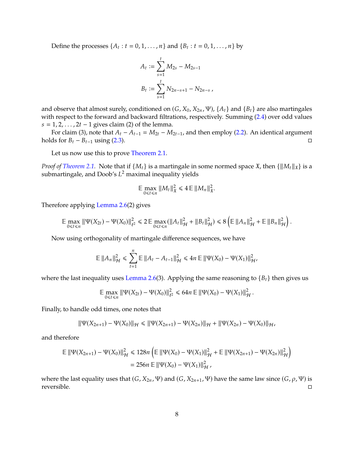Define the processes  $\{A_t : t = 0, 1, ..., n\}$  and  $\{B_t : t = 0, 1, ..., n\}$  by

$$
A_t := \sum_{s=1}^t M_{2s} - M_{2s-1}
$$
  

$$
B_t := \sum_{s=1}^t N_{2n-s+1} - N_{2n-s}
$$

and observe that almost surely, conditioned on  $(G, X_0, X_{2n}, \Psi)$ ,  $\{A_t\}$  and  $\{B_t\}$  are also martingales with respect to the forward and backward filtrations, respectively. Summing [\(2.4\)](#page-6-2) over odd values  $s = 1, 2, \ldots, 2t - 1$  gives claim (2) of the lemma.

For claim (3), note that  $A_t - A_{t-1} = M_{2t} - M_{2t-1}$ , and then employ [\(2.2\)](#page-6-3). An identical argument ds for  $B_t - B_{t-1}$  using (2.3). holds for  $B_t - B_{t-1}$  using [\(2.3\)](#page-6-4).

Let us now use this to prove [Theorem 2.1.](#page-4-1)

*Proof of [Theorem 2.1.](#page-4-1)* Note that if  $\{M_t\}$  is a martingale in some normed space  $\mathfrak{X}$ , then  $\{\|M_t\|_{\mathfrak{X}}\}$  is a submartingale, and Doob's  $L^2$  maximal inequality yields

$$
\mathbb{E}\max_{0\leq t\leq n}||M_t||_{\mathfrak{X}}^2\leq 4\mathbb{E}\,||M_n||_{\mathfrak{X}}^2.
$$

Therefore applying [Lemma 2.6\(](#page-6-5)2) gives

$$
\mathbb{E} \max_{0 \leq t \leq n} \|\Psi(X_{2t}) - \Psi(X_0)\|_{\ell^2}^2 \leq 2 \mathbb{E} \max_{0 \leq t \leq n} (\|A_t\|_{\mathcal{H}}^2 + \|B_t\|_{\mathcal{H}}^2) \leq 8 \left( \mathbb{E} \|A_n\|_{\mathcal{H}}^2 + \mathbb{E} \|B_n\|_{\mathcal{H}}^2 \right).
$$

Now using orthogonality of martingale difference sequences, we have

$$
\mathbb{E} \|A_n\|_{\mathcal{H}}^2 \leq \sum_{t=1}^n \mathbb{E} \|A_t - A_{t-1}\|_{\mathcal{H}}^2 \leq 4n \mathbb{E} \| \Psi(X_0) - \Psi(X_1)\|_{\mathcal{H}}^2,
$$

where the last inequality uses [Lemma 2.6\(](#page-6-5)3). Applying the same reasoning to  ${B_t}$  then gives us

$$
\mathbb{E}\max_{0\leq t\leq n}\|\Psi(X_{2t})-\Psi(X_0)\|_{\ell^2}^2\leq 64n\,\mathbb{E}\,\|\Psi(X_0)-\Psi(X_1)\|_{\mathcal{H}}^2
$$

Finally, to handle odd times, one notes that

$$
\|\Psi(X_{2n+1}) - \Psi(X_0)\|_{\mathcal{H}} \le \|\Psi(X_{2n+1}) - \Psi(X_{2n})\|_{\mathcal{H}} + \|\Psi(X_{2n}) - \Psi(X_0)\|_{\mathcal{H}},
$$

and therefore

$$
\mathbb{E} \|\Psi(X_{2n+1}) - \Psi(X_0)\|_{\mathcal{H}}^2 \le 128n \left( \mathbb{E} \|\Psi(X_0) - \Psi(X_1)\|_{\mathcal{H}}^2 + \mathbb{E} \|\Psi(X_{2n+1}) - \Psi(X_{2n})\|_{\mathcal{H}}^2 \right)
$$
  
= 256n \mathbb{E} \|\Psi(X\_0) - \Psi(X\_1)\|\_{\mathcal{H}}^2,

where the last equality uses that  $(G, X_{2n}, \Psi)$  and  $(G, X_{2n+1}, \Psi)$  have the same law since  $(G, \rho, \Psi)$  is reversible. reversible.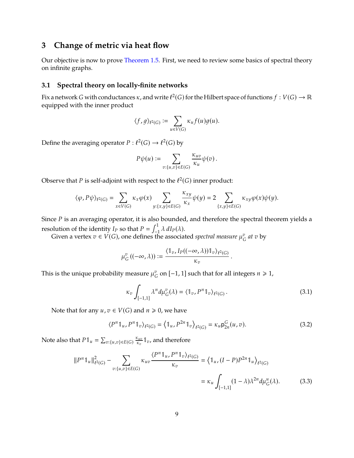# <span id="page-8-0"></span>**3 Change of metric via heat flow**

Our objective is now to prove [Theorem 1.5.](#page-2-1) First, we need to review some basics of spectral theory on infinite graphs.

## **3.1 Spectral theory on locally-finite networks**

Fix a network G with conductances  $\kappa$ , and write  $\ell^2(G)$  for the Hilbert space of functions  $f: V(G) \to \mathbb{R}$ equipped with the inner product

$$
\langle f,g \rangle_{\ell^2(G)} := \sum_{u \in V(G)} \kappa_u f(u) g(u).
$$

Define the averaging operator  $P: \ell^2(G) \to \ell^2(G)$  by

$$
P\psi(u):=\sum_{v:\{u,v\}\in E(G)}\frac{\kappa_{uv}}{\kappa_u}\psi(v)\,.
$$

Observe that P is self-adjoint with respect to the  $\ell^2(G)$  inner product:

$$
\langle \varphi, P\psi\rangle_{\ell^2(G)} = \sum_{x\in V(G)} \kappa_x \varphi(x) \sum_{y:\{x,y\}\in E(G)} \frac{\kappa_{xy}}{\kappa_x}\psi(y) = 2\sum_{\{x,y\}\in E(G)} \kappa_{xy}\varphi(x)\psi(y).
$$

Since  $P$  is an averaging operator, it is also bounded, and therefore the spectral theorem yields a resolution of the identity  $I_P$  so that  $P = \int_{-1}^{1} \lambda \, dI_P(\lambda)$ .<br>Civen a vertex  $\eta \in V(C)$  and defines the association

Given a vertex  $v \in V(G)$ , one defines the associated *spectral measure*  $\mu_{G}^{v}$  $\int_{G}^{v}$  at  $v$  by

$$
\mu_G^v((-\infty,\lambda)) := \frac{\langle \mathbb{1}_v, I_P((-\infty,\lambda)) \mathbb{1}_v \rangle_{\ell^2(G)}}{\kappa_v}
$$

This is the unique probability measure  $\mu_G^v$  on  $[-1, 1]$  such that for all integers  $n \ge 1$ ,

<span id="page-8-3"></span><span id="page-8-1"></span>
$$
\kappa_v \int_{[-1,1]} \lambda^n d\mu_G^v(\lambda) = \langle \mathbb{1}_v, P^n \mathbb{1}_v \rangle_{\ell^2(G)}.
$$
\n(3.1)

Note that for any  $u, v \in V(G)$  and  $n \geq 0$ , we have

<span id="page-8-2"></span>
$$
\langle P^n \mathbb{1}_u, P^n \mathbb{1}_v \rangle_{\ell^2(G)} = \langle \mathbb{1}_u, P^{2n} \mathbb{1}_v \rangle_{\ell^2(G)} = \kappa_u \mathsf{p}_{2n}^G(u, v). \tag{3.2}
$$

Note also that  $P \mathbb{1}_u = \sum_{v:\{u,v\} \in E(G)} \frac{\kappa_{uv}}{\kappa_v}$  $\frac{c_{uv}}{c_v}$  1<sub>v</sub>, and therefore

$$
||P^n \mathbb{1}_u||_{\ell^2(G)}^2 - \sum_{v:\{u,v\} \in E(G)} \kappa_{uv} \frac{\langle P^n \mathbb{1}_u, P^n \mathbb{1}_v \rangle_{\ell^2(G)}}{\kappa_v} = \langle \mathbb{1}_u, (I - P)P^{2n} \mathbb{1}_u \rangle_{\ell^2(G)} \\
= \kappa_u \int_{[-1,1]} (1 - \lambda) \lambda^{2n} d\mu_G^u(\lambda). \tag{3.3}
$$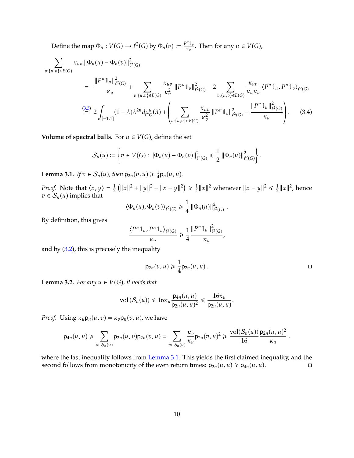Define the map  $\Phi_n : V(G) \to \ell^2(G)$  by  $\Phi_n(v) := \frac{P^n \mathbb{1}_v}{\kappa_v}$  $\frac{n\,\mathbb{1}_v}{\kappa_v}$ . Then for any  $u \in V(G)$ ,

$$
\sum_{v:\{u,v\}\in E(G)} \kappa_{uv} \|\Phi_n(u) - \Phi_n(v)\|_{\ell^2(G)}^2
$$
\n
$$
= \frac{\|P^n \mathbb{1}_u\|_{\ell^2(G)}^2}{\kappa_u} + \sum_{v:\{u,v\}\in E(G)} \frac{\kappa_{uv}}{\kappa_v^2} \|P^n \mathbb{1}_v\|_{\ell^2(G)}^2 - 2 \sum_{v:\{u,v\}\in E(G)} \frac{\kappa_{uv}}{\kappa_u \kappa_v} \langle P^n \mathbb{1}_u, P^n \mathbb{1}_v \rangle_{\ell^2(G)} \tag{3.3}
$$
\n
$$
\stackrel{\text{(3.3)}}{=} 2 \int_{[-1,1]} (1-\lambda)\lambda^{2n} d\mu_G^u(\lambda) + \left(\sum_{v:\{u,v\}\in E(G)} \frac{\kappa_{uv}}{\kappa_v^2} \|P^n \mathbb{1}_v\|_{\ell^2(G)}^2 - \frac{\|P^n \mathbb{1}_u\|_{\ell^2(G)}^2}{\kappa_u}\right). \tag{3.4}
$$

**Volume of spectral balls.** For  $u \in V(G)$ , define the set

$$
\mathcal{S}_n(u) := \left\{ v \in V(G) : ||\Phi_n(u) - \Phi_n(v)||_{\ell^2(G)}^2 \leq \frac{1}{2} ||\Phi_n(u)||_{\ell^2(G)}^2 \right\}.
$$

<span id="page-9-0"></span>**Lemma 3.1.** *If*  $v \in S_n(u)$ , then  $p_{2n}(v, u) \geq \frac{1}{4}$  $\frac{1}{4}$ p<sub>n</sub> $(u, u)$ .

*Proof.* Note that  $\langle x, y \rangle = \frac{1}{2}$  $\frac{1}{2} (||x||^2 + ||y||^2 - ||x - y||^2) \ge \frac{1}{4}$  $\frac{1}{4}||x||^2$  whenever  $||x - y||^2 \le \frac{1}{2}$  $\frac{1}{2}||x||^2$ , hence  $v \in S_n(u)$  implies that

<span id="page-9-1"></span>
$$
\langle \Phi_n(u), \Phi_n(v) \rangle_{\ell^2(G)} \geq \frac{1}{4} ||\Phi_n(u)||_{\ell^2(G)}^2
$$

By definition, this gives

$$
\frac{\langle P^n \mathbb{1}_u, P^n \mathbb{1}_v \rangle_{\ell^2(G)}}{\kappa_v} \geq \frac{1}{4} \frac{\| P^n \mathbb{1}_u \|^2_{\ell^2(G)}}{\kappa_u},
$$

and by [\(3.2\)](#page-8-2), this is precisely the inequality

$$
p_{2n}(v,u) \geq \frac{1}{4}p_{2n}(u,u).
$$

<span id="page-9-2"></span>**Lemma 3.2.** *For any*  $u \in V(G)$ *, it holds that* 

$$
\text{vol}\left(\mathcal{S}_n(u)\right) \leq 16\kappa_u \frac{\mathsf{p}_{4n}(u,u)}{\mathsf{p}_{2n}(u,u)^2} \leq \frac{16\kappa_u}{\mathsf{p}_{2n}(u,u)}
$$

*Proof.* Using  $\kappa_u \mathsf{p}_n(u, v) = \kappa_v \mathsf{p}_n(v, u)$ , we have

$$
p_{4n}(u, u) \geq \sum_{v \in S_n(u)} p_{2n}(u, v) p_{2n}(v, u) = \sum_{v \in S_n(u)} \frac{\kappa_v}{\kappa_u} p_{2n}(v, u)^2 \geq \frac{\text{vol}(S_n(u))}{16} \frac{p_{2n}(u, u)^2}{\kappa_u},
$$

where the last inequality follows from [Lemma 3.1.](#page-9-0) This yields the first claimed inequality, and the second follows from monotonicity of the even return times:  $p_{2n}(u, u) \geq p_{4n}(u, u)$ .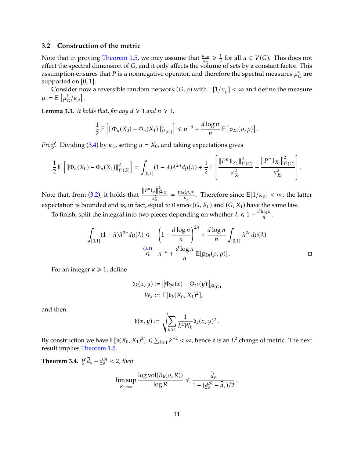## **3.2 Construction of the metric**

Note that in proving [Theorem 1.5,](#page-2-1) we may assume that  $\frac{\kappa_{uu}}{\kappa_u} \geq \frac{1}{2}$ affect the spectral dimension of G, and it only affects the volume of sets by a constant factor. This assumption ensures that P is a poppedative operator and therefore the spectral measures  $u^v$  are  $\frac{1}{2}$  for all  $u \in V(G)$ . This does not assumption ensures that  $P$  is a nonnegative operator, and therefore the spectral measures  $\mu_{C}^{v}$ are supported on [0, <sup>1</sup>].

Consider now a reversible random network  $(G, \rho)$  with  $\mathbb{E}[1/\kappa_\rho] < \infty$  and define the measure  $\mu := \mathbb{E} \left[ \mu_G^{\rho} / \kappa_{\rho} \right].$ 

<span id="page-10-0"></span>**Lemma 3.3.** *It holds that, for any*  $d \ge 1$  *and*  $n \ge 1$ *,* 

$$
\frac{1}{2}\mathbb{E}\left[\left\|\Phi_n(X_0)-\Phi_n(X_1)\right\|^2_{\ell^2(G)}\right] \leq n^{-d}+\frac{d\log n}{n}\mathbb{E}\left[p_{2n}(\rho,\rho)\right].
$$

*Proof.* Dividing [\(3.4\)](#page-9-1) by  $\kappa_u$ , setting  $u = X_0$ , and taking expectations gives

$$
\frac{1}{2}\mathbb{E}\left[\left\|\Phi_n(X_0)-\Phi_n(X_1)\right\|^2_{\ell^2(G)}\right] = \int_{[0,1]} (1-\lambda)\lambda^{2n} d\mu(\lambda) + \frac{1}{2}\mathbb{E}\left[\frac{\left\|P^n \mathbb{1}_{X_1}\right\|^2_{\ell^2(G)}}{\kappa^2_{X_1}} - \frac{\left\|P^n \mathbb{1}_{X_0}\right\|^2_{\ell^2(G)}}{\kappa^2_{X_0}}\right].
$$

Note that, from [\(3.2\)](#page-8-2), it holds that  $\frac{\|P^n\mathbb{1}_{\rho}\|_{\ell}^2}{\nu^2}$  $\frac{|\rho||_{\ell^2(G)}}{\kappa_\rho^2} = \frac{p_{2n}(\rho,\rho)}{\kappa_\rho}$ . Therefore since  $\mathbb{E}[1/\kappa_\rho] < \infty$ , the latter expectation is bounded and is, in fact, equal to 0 since  $(G, X_0)$  and  $(G, X_1)$  have the same law.

To finish, split the integral into two pieces depending on whether  $\lambda \leq 1 - \frac{d \log n}{n}$ 

$$
\int_{[0,1]} (1 - \lambda) \lambda^{2n} d\mu(\lambda) \leq \int_{(3,1)} \left(1 - \frac{d \log n}{n}\right)^{2n} + \frac{d \log n}{n} \int_{[0,1]} \lambda^{2n} d\mu(\lambda)
$$
\n
$$
\leq n^{-d} + \frac{d \log n}{n} \mathbb{E}[p_{2n}(\rho, \rho)]. \qquad \Box
$$

:

For an integer  $k \geq 1$ , define

$$
\delta_k(x, y) := \left\| \Phi_{2^k}(x) - \Phi_{2^k}(y) \right\|_{\ell^2(G)}
$$

$$
W_k := \mathbb{E}[\delta_k(X_0, X_1)^2],
$$

and then

$$
\mathfrak{d}(x,y) := \sqrt{\sum_{k \geq 1} \frac{1}{k^2 W_k} \mathfrak{d}_k(x,y)^2}.
$$

By construction we have  $\mathbb{E}[\mathfrak{d}(X_0, X_1)^2] \le \sum_{k \ge 1} k^{-2} < \infty$ , hence  $\mathfrak{d}$  is an  $L^2$  change of metric. The next result implies Theorem 1.5 result implies [Theorem 1.5.](#page-2-1)

**Theorem 3.4.** *If*  $\bar{d}_s - \underline{d}$  $_{s}^{\mathcal{A}}$  < 2*, then* 

$$
\limsup_{R \to \infty} \frac{\log \text{vol}(B_{\mathfrak{d}}(\rho, R))}{\log R} \le \frac{\bar{d}_s}{1 + (\underline{d}_s^{\mathcal{R}} - \bar{d}_s)/2}
$$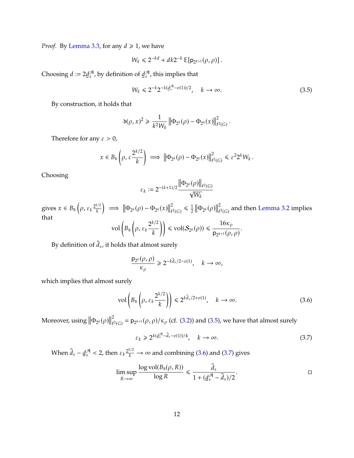*Proof.* By [Lemma 3.3,](#page-10-0) for any  $d \ge 1$ , we have

$$
W_k \leq 2^{-kd} + dk 2^{-k} \, \mathbb{E}[{\sf p}_{2^{k+1}}(\rho,\rho)] \, .
$$

Choosing  $d := 2\underline{d}$  $\mathcal A$  $\frac{\partial A}{\partial s}$ , by definition of <u>d</u> A  $\mathcal{F}_s^{\mathcal{H}}$ , this implies that

<span id="page-11-0"></span>
$$
W_k \le 2^{-k} 2^{-k} \frac{d^{\mathcal{A}} - o(1)/2}{s}, \quad k \to \infty.
$$
 (3.5)

By construction, it holds that

$$
\delta(\rho, x)^2 \geq \frac{1}{k^2 W_k} \left\| \Phi_{2^k}(\rho) - \Phi_{2^k}(x) \right\|_{\ell^2(G)}^2.
$$

Therefore for any  $\varepsilon > 0$ ,

$$
x \in B_{\mathfrak{d}}\left(\rho, \varepsilon \frac{2^{k/2}}{k}\right) \implies \left\|\Phi_{2^k}(\rho) - \Phi_{2^k}(x)\right\|_{\ell^2(G)}^2 \leq \varepsilon^2 2^k W_k.
$$

Choosing

$$
\varepsilon_k := 2^{-(k+1)/2} \frac{\left\| \Phi_{2^k}(\rho) \right\|_{\ell^2(G)}}{\sqrt{W_k}}
$$

gives  $x \in B_{\mathfrak{d}} \left( \rho, \varepsilon_k \frac{2^{k/2}}{k} \right)$  $\Big) \implies \left\| \Phi_{2^k}(\rho) - \Phi_{2^k}(x) \right\|$ 2  $\frac{2}{\ell^2(G)} \leq \frac{1}{2}$  $\frac{1}{2} \|\Phi_{2^k}(\rho)\|$ 2  $\tilde{t}^2(G)$  and then [Lemma 3.2](#page-9-2) implies that vol  $\left(B_{\mathfrak{d}}\left(\rho,\varepsilon_k\frac{2^{k/2}}{k}\right)\right)$  $\bigg\|\leq \text{vol}(\mathcal{S}_2)$  $16\kappa_0$ 

$$
\operatorname{vol}\left(B_{\mathfrak{d}}\left(\rho,\,\varepsilon_k\frac{2^{N-1}}{k}\right)\right) \leq \operatorname{vol}(\mathcal{S}_{2^k}(\rho)) \leq \frac{\operatorname{loc}\rho}{\rho_{2^{k+1}}(\rho,\rho)}
$$

By definition of  $\overline{d}_s$ , it holds that almost surely

$$
\frac{\mathsf{p}_{2^k}(\rho,\rho)}{\kappa_\rho} \geq 2^{-k\overline{d}_s/2 - o(1)}, \quad k \to \infty,
$$

which implies that almost surely

<span id="page-11-1"></span>
$$
\text{vol}\left(B_{\text{b}}\left(\rho, \varepsilon_k \frac{2^{k/2}}{k}\right)\right) \leq 2^{k\bar{d}_s/2 + o(1)}, \quad k \to \infty. \tag{3.6}
$$

Moreover, using  $\|\Phi_{2^k}(\rho)\|$ 2  $\chi^2_{\ell^2(G)} = \mathsf{p}_{2^{k+1}}(\rho, \rho)/\kappa_\rho$  (cf. [\(3.2\)](#page-8-2)) and [\(3.5\)](#page-11-0), we have that almost surely

<span id="page-11-2"></span>
$$
\varepsilon_k \geq 2^{k(\underline{d}_s^{\mathcal{A}} - \bar{d}_s - o(1))/4}, \quad k \to \infty.
$$

When  $\bar{d}_s - \underline{d}$  $\frac{\mathcal{A}}{s}$  < 2, then  $\varepsilon_k \frac{2^{k/2}}{k} \to \infty$  and combining [\(3.6\)](#page-11-1) and [\(3.7\)](#page-11-2) gives

$$
\limsup_{R \to \infty} \frac{\log \text{vol}(B_{\mathfrak{d}}(\rho, R))}{\log R} \leq \frac{\overline{d}_s}{1 + (\underline{d}_s^{\mathcal{A}} - \overline{d}_s)/2}.
$$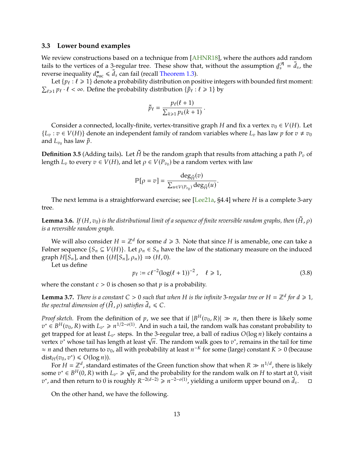## <span id="page-12-1"></span><span id="page-12-0"></span>**3.3 Lower bound examples**

We review constructions based on a technique from [\[AHNR18\]](#page-16-4), where the authors add random tails to the vertices of a 3-regular tree. These show that, without the assumption  $\underline{d}$ <br>reverse inequality  $d^* \leq \overline{d}$  can fail (recall Theorem 1.3)  $\frac{a}{s} = \bar{d}_s$ , the reverse inequality  $d_{\text{euc}}^* \leq d_s$  can fail (recall [Theorem 1.3\)](#page-2-0).<br>Let  $f_{\text{Re}}: \ell > 1$  denote a probability distribution on po

Let  $\{p_\ell : \ell \ge 1\}$  denote a probability distribution on positive integers with bounded first moment:  $\sum_{\ell \geq 1} p_{\ell} \cdot \ell < \infty$ . Define the probability distribution  $\{\tilde{p}_{\ell} : \ell \geq 1\}$  by

$$
\tilde{p}_{\ell} = \frac{p_{\ell}(\ell+1)}{\sum_{k\geq 1} p_k(k+1)}.
$$

Consider a connected, locally-finite, vertex-transitive graph H and fix a vertex  $v_0 \in V(H)$ . Let  ${L_v : v \in V(H)}$  denote an independent family of random variables where  $L_v$  has law p for  $v \neq v_0$ and  $L_{v_0}$  has law  $\tilde{p}$ .

**Definition 3.5** (Adding tails). Let  $H$  be the random graph that results from attaching a path  $P<sub>v</sub>$  of length  $L_v$  to every  $v \in V(H)$ , and let  $\rho \in V(P_{v_0})$  be a random vertex with law

$$
\mathbb{P}[\rho = v] = \frac{\deg_{\tilde{H}}(v)}{\sum_{u \in V(P_{v_0})} \deg_{\tilde{H}}(u)}.
$$

The next lemma is a straightforward exercise; see [\[Lee21a,](#page-17-4) §4.4] where  $H$  is a complete 3-ary tree.

**Lemma 3.6.** *If*  $(H, v_0)$  *is the distributional limit of a sequence of finite reversible random graphs, then*  $(\tilde{H}, \rho)$ *is a reversible random graph.*

We will also consider  $H = \mathbb{Z}^d$  for some  $d \ge 3$ . Note that since H is amenable, one can take a<br>per sequence  $\{S \subseteq V(H)\}$ . Let  $q \in S$ , have the law of the stationary measure on the induced Følner sequence  $\{S_n \subseteq V(H)\}\$ . Let  $\rho_n \in S_n$  have the law of the stationary measure on the induced graph  $H[S_n]$ , and then  $\{(H[S_n], \rho_n)\}\Rightarrow (H, 0)$ .

Let us define

$$
p_{\ell} := c\ell^{-2}(\log(\ell+1))^{-2}, \quad \ell \ge 1,
$$
\n(3.8)

where the constant  $c > 0$  is chosen so that  $p$  is a probability.

**Lemma 3.7.** *There is a constant*  $C > 0$  *such that when*  $H$  *is the infinite* 3-regular tree or  $H = \mathbb{Z}^d$  for  $d \ge 1$ , the spectral dimension of  $(\tilde{H}, o)$  satisfies  $\tilde{d} \le C$ *the spectral dimension of*  $(\tilde{H}, \rho)$  *satisfies*  $\bar{d}_s \leq C$ *.* 

*Proof sketch.* From the definition of p, we see that if  $|B^H(v_0, R)| \gg n$ , then there is likely some  $\mathbb{Z}^* \in B^H(v_0, R)$  with  $I \to \mathbb{Z}^{1/2-o(1)}$ . And in such a tail, the random walk has constant probability to get trapped for at least  $L_{v^*}$  steps. In the 3-regular tree, a ball of radius  $O(\log n)$  likely contains a<br>vertex  $v^*$  whose tail has length at least  $\sqrt{n}$ . The random walk goes to  $v^*$  remains in the tail for time  $\mathbf{A}^* \in B^H(v_0, R)$  with  $L_{v^*} \geq n^{1/2-o(1)}$ . And in such a tail, the random walk has constant probability to  $\mathbf{A}$  transport to  $\mathbf{A}$  the 3-rough trop a hall of radius  $O(\log n)$  likely contains a get trapped for at least  $L_{v^*}$  steps. In the 3-regular tree, a ball of radius  $O(\log n)$  likely contains a<br>vertex  $v^*$  whose tail has length at least  $\sqrt{n}$ . The random walk goes to  $v^*$ , remains in the tail for time<br> $\$  $\approx n$  and then returns to  $v_0$ , all with probability at least  $n^{-K}$  for some (large) constant  $K > 0$  (because dist<sub>H</sub>( $v_0$ ,  $v^*$ )  $\leq$  O(log *n*)).<br>For  $H - \mathbb{Z}^d$  standard

For  $H = \mathbb{Z}^d$ , standard estimates of the Green function show that when  $R \gg n^{1/d}$ , there is likely some  $v^* \in B^H(0, R)$  with  $L_{v^*} \ge \sqrt{n}$ , and the probability for the random walk on H to start at 0, visit  $v^*$  and then return to 0 is roughly  $R^{-2(d-2)} > n^{-2-o(1)}$  vielding a uniform upper bound on  $\overline{d}$ <sup>\*</sup>, and then return to 0 is roughly  $R^{-2(d-2)} \ge n^{-2-o(1)}$ , yielding a uniform upper bound on  $\bar{d}_s$  $\Box$ 

On the other hand, we have the following.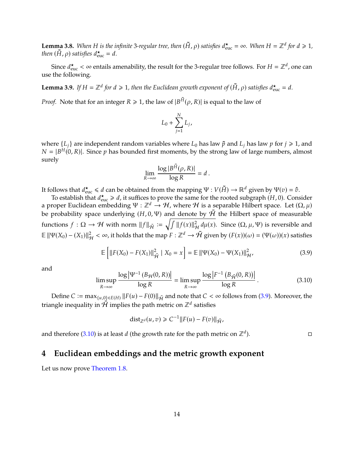**Lemma 3.8.** When H is the infinite 3-regular tree, then  $(\tilde{H}, \rho)$  satisfies  $d_{\text{euc}}^{\star} = \infty$ . When  $H = \mathbb{Z}^d$  for  $d \ge 1$ , then  $(\tilde{H}, \rho)$  satisfies  $d^{\star} = d$ *then*  $(\tilde{H}, \rho)$  *satisfies*  $d_{\text{euc}}^{\star} = d$ *.* 

Since  $d_{\text{euc}}^{\star} < \infty$  entails amenability, the result for the 3-regular tree follows. For  $H = \mathbb{Z}^d$ , one can the following use the following.

**Lemma 3.9.** If  $H = \mathbb{Z}^d$  for  $d \geq 1$ , then the Euclidean growth exponent of  $(\tilde{H}, \rho)$  satisfies  $d_{\text{euc}}^{\star} = d$ .

*Proof.* Note that for an integer  $R \ge 1$ , the law of  $|B^{\tilde{H}}(\rho, R)|$  is equal to the law of

$$
L_0 + \sum_{j=1}^N L_j,
$$

where  $\{L_i\}$  are independent random variables where  $L_0$  has law  $\tilde{p}$  and  $L_i$  has law  $p$  for  $j \ge 1$ , and  $N = |B^H(0, R)|$ . Since  $p$  has bounded first moments, by the strong law of large numbers, almost surely

$$
\lim_{R\to\infty}\frac{\log|B^{\tilde{H}}(\rho,R)|}{\log R}=d.
$$

It follows that  $d_{\text{euc}}^* \le d$  can be obtained from the mapping  $\Psi : V(\tilde{H}) \to \mathbb{R}^d$  given by  $\Psi(v) = \hat{v}$ .<br>To establish that  $d^* \ge d$  it suffices to prove the same for the rooted subgraph  $(H, 0)$ . Cons

To establish that  $d_{\text{euc}}^{\star} \geq d$ , it suffices to prove the same for the rooted subgraph  $(H, 0)$ . Consider rooted subgraph  $(H, 0)$ . a proper Euclidean embedding  $\Psi : \mathbb{Z}^d \to \mathcal{H}$ , where  $\mathcal H$  is a separable Hilbert space. Let  $(\Omega, \mu)$ be probability space underlying  $(H, 0, \Psi)$  and denote by  $\overline{\mathcal{H}}$  the Hilbert space of measurable functions  $f : \Omega \to \mathcal{H}$  with norm  $||f||_{\tilde{\mathcal{H}}} := \sqrt{\int ||f(x)||_{\mathcal{H}}^2 d\mu(x)}$ . Since  $(\Omega, \mu, \Psi)$  is reversible and  $\mathbb{E} \|\Psi(X_0) - (X_1)\|_{\mathcal{H}}^2 < \infty$ , it holds that the map  $\hat{F} : \mathbb{Z}^d \to \hat{\mathcal{H}}$  given by  $(F(x))(\omega) = (\Psi(\omega))(x)$  satisfies

<span id="page-13-1"></span>
$$
\mathbb{E}\left[\|F(X_0) - F(X_1)\|_{\tilde{\mathcal{H}}}^2 \mid X_0 = x\right] = \mathbb{E}\|\Psi(X_0) - \Psi(X_1)\|_{\mathcal{H}'}^2\tag{3.9}
$$

and

<span id="page-13-2"></span>
$$
\limsup_{R \to \infty} \frac{\log |\Psi^{-1} (B_{\mathcal{H}}(0, R))|}{\log R} = \limsup_{R \to \infty} \frac{\log |F^{-1} (B_{\tilde{\mathcal{H}}}(0, R))|}{\log R}.
$$
 (3.10)

Define  $C := \max_{\{u,0\} \in E(H)} ||F(u) - F(0)||_{\tilde{H}}$  and note that  $C < \infty$  follows from [\(3.9\)](#page-13-1). Moreover, the triangle inequality in  $\overline{\mathcal{H}}$  implies the path metric on  $\mathbb{Z}^d$  satisfies

$$
\mathrm{dist}_{\mathbb{Z}^d}(u,v) \geq C^{-1} ||F(u) - F(v)||_{\tilde{\mathcal{H}}},
$$

and therefore [\(3.10\)](#page-13-2) is at least *d* (the growth rate for the path metric on  $\mathbb{Z}^d$ ).  $\Box$ 

# <span id="page-13-0"></span>**4 Euclidean embeddings and the metric growth exponent**

Let us now prove [Theorem 1.8.](#page-3-0)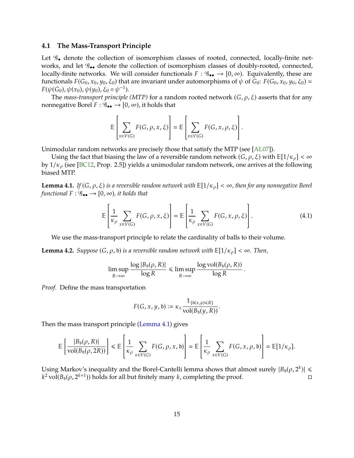#### <span id="page-14-2"></span>**4.1 The Mass-Transport Principle**

Let  $\mathscr{G}_{\bullet}$  denote the collection of isomorphism classes of rooted, connected, locally-finite networks, and let  $\mathcal{G}_{\bullet\bullet}$  denote the collection of isomorphism classes of doubly-rooted, connected, locally-finite networks. We will consider functionals  $F: \mathscr{G}_{\bullet \bullet} \to [0, \infty)$ . Equivalently, these are functionals  $F(G_0, x_0, y_0, \xi_0)$  that are invariant under automorphisms of  $\psi$  of  $G_0$ :  $F(G_0, x_0, y_0, \xi_0)$  =  $F(\psi(G_0), \psi(x_0), \psi(y_0), \xi_0 \circ \psi^{-1}).$ <br>The mass-transport principle

The *mass-transport principle* (MTP) for a random rooted network  $(G, \rho, \xi)$  asserts that for any nonnegative Borel  $F: \mathscr{G}_{\bullet \bullet} \to [0, \infty)$ , it holds that

$$
\mathbb{E}\left[\sum_{x\in V(G)} F(G,\rho,x,\xi)\right] = \mathbb{E}\left[\sum_{x\in V(G)} F(G,x,\rho,\xi)\right].
$$

Unimodular random networks are precisely those that satisfy the MTP (see [\[AL07\]](#page-16-3)).

Using the fact that biasing the law of a reversible random network  $(G, \rho, \xi)$  with  $\mathbb{E}[1/\kappa_\rho] < \infty$ by  $1/\kappa_{\rho}$  (see [\[BC12,](#page-16-2) Prop. 2.5]) yields a unimodular random network, one arrives at the following biased MTP.

<span id="page-14-0"></span>**Lemma 4.1.** *If*  $(G, \rho, \xi)$  *is a reversible random network with*  $\mathbb{E}[1/\kappa_{\rho}] < \infty$ *, then for any nonnegative Borel functional*  $F : \mathscr{G}_{\bullet \bullet} \to [0, \infty)$ *, it holds that* 

$$
\mathbb{E}\left[\frac{1}{\kappa_{\rho}}\sum_{x\in V(G)}F(G,\rho,x,\xi)\right]=\mathbb{E}\left[\frac{1}{\kappa_{\rho}}\sum_{x\in V(G)}F(G,x,\rho,\xi)\right].
$$
\n(4.1)

We use the mass-transport principle to relate the cardinality of balls to their volume.

<span id="page-14-1"></span>**Lemma 4.2.** *Suppose*  $(G, \rho, \mathfrak{d})$  *is a reversible random network with*  $\mathbb{E}[1/\kappa_{\rho}] < \infty$ *. Then,* 

$$
\limsup_{R \to \infty} \frac{\log |B_{\mathfrak{d}}(\rho, R)|}{\log R} \le \limsup_{R \to \infty} \frac{\log \text{vol}(B_{\mathfrak{d}}(\rho, R))}{\log R}
$$

*Proof.* Define the mass transportation

$$
F(G, x, y, \mathfrak{d}) \coloneqq \kappa_x \frac{\mathbb{1}_{\{\mathfrak{d}(x, y) \leq R\}}}{\text{vol}(B_{\mathfrak{d}}(y, R))}.
$$

Then the mass transport principle [\(Lemma 4.1\)](#page-14-0) gives

$$
\mathbb{E}\left[\frac{|B_{\mathfrak{d}}(\rho,R)|}{\mathrm{vol}(B_{\mathfrak{d}}(\rho,2R))}\right] \leq \mathbb{E}\left[\frac{1}{\kappa_{\rho}}\sum_{x\in V(G)}F(G,\rho,x,\mathfrak{d})\right] = \mathbb{E}\left[\frac{1}{\kappa_{\rho}}\sum_{x\in V(G)}F(G,x,\rho,\mathfrak{d})\right] = \mathbb{E}[1/\kappa_{\rho}].
$$

Using Markov's inequality and the Borel-Cantelli lemma shows that almost surely  $|B_{\rm b}(\rho, 2^k)| \leq k^2$  vol $(B_{\rm b}(\rho, 2^{k+1}))$  holds for all but finitely many k-completing the proof  $k^2$  vol $(B_{\delta}(\rho, 2^{k+1}))$  holds for all but finitely many  $k$ , completing the proof.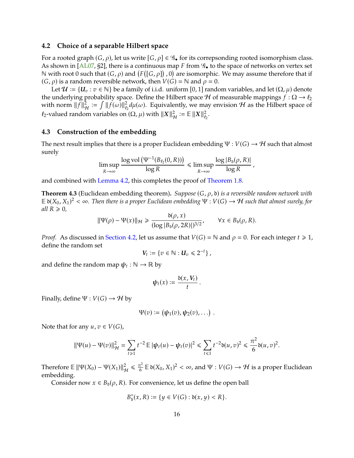#### <span id="page-15-1"></span><span id="page-15-0"></span>**4.2 Choice of a separable Hilbert space**

For a rooted graph  $(G, \rho)$ , let us write  $[G, \rho] \in \mathscr{G}_{\bullet}$  for its correpsonding rooted isomorphism class. As shown in  $[AL07, §2]$  $[AL07, §2]$ , there is a continuous map F from  $\mathcal{G}_\bullet$  to the space of networks on vertex set N with root 0 such that (*G*, *ρ*) and (*F*([*G*, *ρ*]), 0) are isomorphic. We may assume therefore that if (*G*, *o*) is a random reversible network, then *V*(*G*) = N and *o* = 0.  $(G, \rho)$  is a random reversible network, then  $V(G) = \mathbb{N}$  and  $\rho = 0$ .<br>Let  $U = \{U : \pi \in \mathbb{N}\}$  be a family of i.i.d. uniform [0, 1] rando

Let  $\mathcal{U} := \{U_v : v \in \mathbb{N}\}\$  be a family of i.i.d. uniform [0, 1] random variables, and let  $(\Omega, \mu)$  denote the underlying probability space. Define the Hilbert space *H* of measurable mappings  $f : \Omega \to \ell_2$ with norm  $||f||^2_{\mathcal{H}} := \int ||f(\omega)||^2_{\ell_2} d\mu(\omega)$ . Equivalently, we may envision  $\mathcal{H}$  as the Hilbert space of  $\ell_2$ -valued random variables on  $(\Omega, \mu)$  with  $||X||^2_{\mathcal{H}} := \mathbb{E} ||X||^2_{\ell_2}$  $\mathfrak{e}_2$ .

## **4.3 Construction of the embedding**

The next result implies that there is a proper Euclidean embedding  $\Psi: V(G) \to H$  such that almost surely

$$
\limsup_{R\to\infty}\frac{\log \text{vol}\left(\Psi^{-1}(B_{\ell_2}(0,R))\right)}{\log R}\leq \limsup_{R\to\infty}\frac{\log|B_{\mathfrak{d}}(\rho,R)|}{\log R}\,,
$$

and combined with [Lemma 4.2,](#page-14-1) this completes the proof of [Theorem 1.8.](#page-3-0)

**Theorem 4.3** (Euclidean embedding theorem). *Suppose*  $(G, \rho, \mathfrak{d})$  *is a reversible random network with*  $\mathbb{E} \mathfrak{d}(X_0, X_1)^2 < \infty$ . Then there is a proper Euclidean embedding  $\Psi : V(G) \to \mathcal{H}$  such that almost surely, for *all*  $R \geq 0$ *,* 

$$
\|\Psi(\rho) - \Psi(x)\|_{\mathcal{H}} \ge \frac{\delta(\rho, x)}{(\log |B_{\delta}(\rho, 2R)|)^{3/2}}, \qquad \forall x \in B_{\delta}(\rho, R).
$$

*Proof.* As discussed in [Section 4.2,](#page-15-0) let us assume that  $V(G) = N$  and  $\rho = 0$ . For each integer  $t \ge 1$ , define the random set

$$
V_t := \{v \in \mathbb{N} : U_v \leq 2^{-t}\},\,
$$

and define the random map  $\psi_t : \mathbb{N} \to \mathbb{R}$  by

$$
\psi_t(x) := \frac{\delta(x, V_t)}{t}.
$$

Finally, define  $\Psi : V(G) \to H$  by

$$
\Psi(v):=(\boldsymbol{\psi}_1(v),\boldsymbol{\psi}_2(v),\ldots).
$$

Note that for any  $u, v \in V(G)$ ,

$$
\|\Psi(u) - \Psi(v)\|_{\mathcal{H}}^2 = \sum_{t \ge 1} t^{-2} \mathbb{E} |\psi_t(u) - \psi_t(v)|^2 \le \sum_{t \le 1} t^{-2} \delta(u, v)^2 \le \frac{\pi^2}{6} \delta(u, v)^2.
$$

Therefore  $\mathbb{E} ||\Psi(X_0) - \Psi(X_1)||_{\mathcal{H}}^2 \leq \frac{\pi^2}{6}$  $\frac{\pi^2}{6} \mathbb{E} \mathfrak{d}(X_0, X_1)^2 < \infty$ , and  $\Psi : V(G) \to \mathcal{H}$  is a proper Euclidean embedding.

Consider now  $x \in B_{\delta}(\rho, R)$ . For convenience, let us define the open ball

$$
B_{\mathfrak{d}}^{\circ}(x,R) := \{ y \in V(G) : \mathfrak{d}(x,y) < R \}.
$$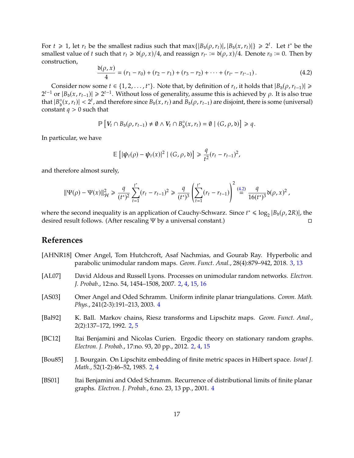For  $t \ge 1$ , let  $r_t$  be the smallest radius such that  $\max\{|B_{\delta}(\rho, r_t)|, |B_{\delta}(x, r_t)|\} \ge 2^t$ . Let  $t^*$  be the smallest value of  $t$  such that  $r_t \ge \delta(\rho, x)/4$  and reassion  $r_t := \delta(\rho, x)/4$ . Denote  $r_s := 0$ . Then by smallest value of *t* such that  $r_t \ge \delta(\rho, x)/4$ , and reassign  $r_{t^*} := \delta(\rho, x)/4$ . Denote  $r_0 := 0$ . Then by construction construction,

<span id="page-16-7"></span>
$$
\frac{b(\rho, x)}{4} = (r_1 - r_0) + (r_2 - r_1) + (r_3 - r_2) + \dots + (r_{t^*} - r_{t^* - 1}).
$$
\n(4.2)

Consider now some  $t \in \{1, 2, ..., t^*\}$ . Note that, by definition of  $r_t$ , it holds that  $|B_{\delta}(\rho, r_{t-1})| \ge$ <br> $\|R_{\delta}(x, r_{t-1})\| > 2^{t-1}$ . Without loss of gonorality assume this is achieved by a. It is also true  $2^{t-1}$  or  $|B_0(x, r_{t-1})| \ge 2^{t-1}$ . Without loss of generality, assume this is achieved by  $\rho$ . It is also true<br>that  $|B^\circ(x, r)| \le 2^t$  and therefore since  $B_1(x, r)$  and  $B_2(x, r)$  are disjoint, there is some (universal) that  $|B_{\delta}^{\circ}|$  $|\sigma_{\rm b}(x, r_t)| < 2^t$ , and therefore since  $B_{\rm b}(x, r_t)$  and  $B_{\rm b}(\rho, r_{t-1})$  are disjoint, there is some (universal) are  $a > 0$  such that constant  $q > 0$  such that

$$
\mathbb{P}\left[V_t\cap B_{\mathfrak{d}}(\rho,r_{t-1})\neq\emptyset\wedge V_t\cap B_{\mathfrak{d}}^{\circ}(x,r_t)=\emptyset\mid (G,\rho,\mathfrak{d})\right]\geq q.
$$

In particular, we have

$$
\mathbb{E}\left[|\psi_t(\rho)-\psi_t(x)|^2\mid (G,\rho,\mathfrak{d})\right]\geq \frac{q}{t^2}(r_t-r_{t-1})^2,
$$

and therefore almost surely,

$$
\|\Psi(\rho)-\Psi(x)\|_{\mathcal{H}}^2 \geq \frac{q}{(t^*)^2} \sum_{t=1}^{t^*} (r_t-r_{t-1})^2 \geq \frac{q}{(t^*)^3} \left(\sum_{t=1}^{t^*} (r_t-r_{t-1})\right)^2 \stackrel{(4.2)}{=} \frac{q}{16(t^*)^3} \mathfrak{d}(\rho,x)^2,
$$

where the second inequality is an application of Cauchy-Schwarz. Since  $t^* \leq \log_2 |B_b(\rho, 2R)|$ , the desired result follows. (After rescaling W by a universal constant) desired result follows. (After rescaling Ψ by a universal constant.)

## **References**

- <span id="page-16-4"></span>[AHNR18] Omer Angel, Tom Hutchcroft, Asaf Nachmias, and Gourab Ray. Hyperbolic and parabolic unimodular random maps. *Geom. Funct. Anal.*, 28(4):879–942, 2018. [3,](#page-2-2) [13](#page-12-1)
- <span id="page-16-3"></span>[AL07] David Aldous and Russell Lyons. Processes on unimodular random networks. *Electron. J. Probab.*, 12:no. 54, 1454–1508, 2007. [2,](#page-1-0) [4,](#page-3-3) [15,](#page-14-2) [16](#page-15-1)
- <span id="page-16-6"></span>[AS03] Omer Angel and Oded Schramm. Uniform infinite planar triangulations. *Comm. Math. Phys.*, 241(2-3):191–213, 2003. [4](#page-3-3)
- <span id="page-16-0"></span>[Bal92] K. Ball. Markov chains, Riesz transforms and Lipschitz maps. *Geom. Funct. Anal.*, 2(2):137–172, 1992. [2,](#page-1-0) [5](#page-4-3)
- <span id="page-16-2"></span>[BC12] Itai Benjamini and Nicolas Curien. Ergodic theory on stationary random graphs. *Electron. J. Probab.*, 17:no. 93, 20 pp., 2012. [2,](#page-1-0) [4,](#page-3-3) [15](#page-14-2)
- <span id="page-16-1"></span>[Bou85] J. Bourgain. On Lipschitz embedding of finite metric spaces in Hilbert space. *Israel J. Math.*, 52(1-2):46–52, 1985. [2,](#page-1-0) [4](#page-3-3)
- <span id="page-16-5"></span>[BS01] Itai Benjamini and Oded Schramm. Recurrence of distributional limits of finite planar graphs. *Electron. J. Probab.*, 6:no. 23, 13 pp., 2001. [4](#page-3-3)